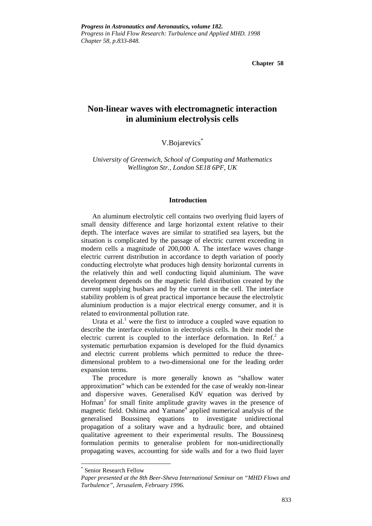**Chapter 58**

# **Non-linear waves with electromagnetic interaction in aluminium electrolysis cells**

V.Bojarevics \*

*University of Greenwich, School of Computing and Mathematics Wellington Str., London SE18 6PF, UK*

# **Introduction**

An aluminum electrolytic cell contains two overlying fluid layers of small density difference and large horizontal extent relative to their depth. The interface waves are similar to stratified sea layers, but the situation is complicated by the passage of electric current exceeding in modern cells a magnitude of 200,000 A. The interface waves change electric current distribution in accordance to depth variation of poorly conducting electrolyte what produces high density horizontal currents in the relatively thin and well conducting liquid aluminium. The wave development depends on the magnetic field distribution created by the current supplying busbars and by the current in the cell. The interface stability problem is of great practical importance because the electrolytic aluminium production is a major electrical energy consumer, and it is related to environmental pollution rate.

Urata et al.<sup>1</sup> were the first to introduce a coupled wave equation to describe the interface evolution in electrolysis cells. In their model the electric current is coupled to the interface deformation. In Ref.<sup>2</sup> a systematic perturbation expansion is developed for the fluid dynamics and electric current problems which permitted to reduce the threedimensional problem to a two-dimensional one for the leading order expansion terms.

The procedure is more generally known as "shallow water approximation" which can be extended for the case of weakly non-linear and dispersive waves. Generalised KdV equation was derived by Hofman<sup>3</sup> for small finite amplitude gravity waves in the presence of magnetic field. Oshima and Yamane<sup>4</sup> applied numerical analysis of the generalised Boussineq equations to investigate unidirectional propagation of a solitary wave and a hydraulic bore, and obtained qualitative agreement to their experimental results. The Boussinesq formulation permits to generalise problem for non-unidirectionally propagating waves, accounting for side walls and for a two fluid layer

<sup>\*</sup> Senior Research Fellow

*Paper presented at the 8th Beer-Sheva International Seminar on "MHD Flows and Turbulence", Jerusalem, February 1996.*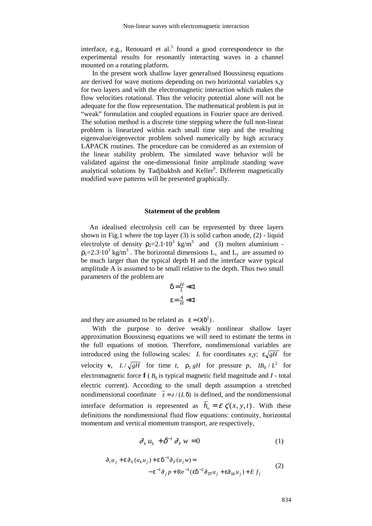interface, e.g., Renouard et al.<sup>5</sup> found a good correspondence to the experimental results for resonantly interacting waves in a channel mounted on a rotating platform.

In the present work shallow layer generalised Boussinesq equations are derived for wave motions depending on two horizontal variables x,y for two layers and with the electromagnetic interaction which makes the flow velocities rotational. Thus the velocity potential alone will not be adequate for the flow representation. The mathematical problem is put in "weak" formulation and coupled equations in Fourier space are derived. The solution method is a discrete time stepping where the full non-linear problem is linearized within each small time step and the resulting eigenvalue/eigenvector problem solved numerically by high accuracy LAPACK routines. The procedure can be considered as an extension of the linear stability problem. The simulated wave behavior will be validated against the one-dimensional finite amplitude standing wave analytical solutions by Tadjbakhsh and Keller<sup>6</sup>. Different magnetically modified wave patterns will be presented graphically.

# **Statement of the problem**

An idealised electrolysis cell can be represented by three layers shown in Fig.1 where the top layer (3) is solid carbon anode, (2) - liquid electrolyte of density  $\rho_2 = 2.1 \cdot 10^3$  kg/m<sup>3</sup> and (3) molten aluminium - $\rho_1 = 2.3 \cdot 10^3$  kg/m<sup>3</sup>. The horizontal dimensions L<sub>x</sub> and L<sub>y</sub> are assumed to be much larger than the typical depth H and the interface wave typical amplitude A is assumed to be small relative to the depth. Thus two small parameters of the problem are

$$
\delta = \frac{H}{L} \ll 1
$$

$$
\epsilon = \frac{A}{H} \ll 1
$$

and they are assumed to be related as  $\varepsilon = O(\delta^2)$ .

With the purpose to derive weakly nonlinear shallow layer approximation Boussinesq equations we will need to estimate the terms in the full equations of motion. Therefore, nondimensional variables are introduced using the following scales: *L* for coordinates *x,y*;  $\epsilon \sqrt{gH}$  for velocity **v**,  $L/\sqrt{gH}$  for time *t*,  $\rho_1 gH$  for pressure *p*,  $IB_0/L^2$  for electromagnetic force  $f(B_0)$  is typical magnetic field magnitude and  $I$  *-* total electric current). According to the small depth assumption a stretched nondimensional coordinate  $\bar{z} = z/(L\delta)$  is defined, and the nondimensional interface deformation is represented as  $h_o = \mathcal{E} \zeta(x, y, t)$ . With these definitions the nondimensional fluid flow equations: continuity, horizontal momentum and vertical momentum transport, are respectively,

$$
\partial_k u_k + \delta^{-1} \partial_{\bar{z}} w = 0 \tag{1}
$$

$$
\partial_t u_j + \varepsilon \partial_k (u_k u_j) + \varepsilon \delta^{-1} \partial_{\bar{z}} (u_j w) = -\varepsilon^{-1} \partial_j p + \text{Re}^{-1} (\varepsilon \delta^{-2} \partial_{\bar{z}\bar{z}} u_j + \varepsilon \partial_{kk} u_j) + E f_j
$$
\n(2)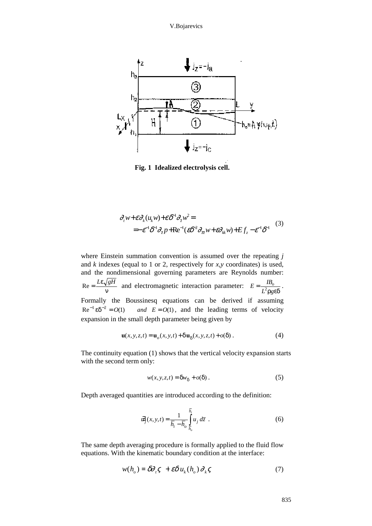

**Fig. 1 Idealized electrolysis cell.**

$$
\partial_t w + \varepsilon \partial_k (u_k w) + \varepsilon \delta^{-1} \partial_{\bar{z}} w^2 =
$$
  
=  $-\varepsilon^{-1} \delta^{-1} \partial_{\bar{z}} p + \text{Re}^{-1} (\varepsilon \delta^{-2} \partial_{\bar{z}} w + \varepsilon \partial_{ik} w) + E f_z - \varepsilon^{-1} \delta^{-1}$  (3)

where Einstein summation convention is assumed over the repeating *j* and *k* indexes (equal to 1 or 2, respectively for *x,y* coordinates) is used, and the nondimensional governing parameters are Reynolds number:  $Re = \frac{L\varepsilon \sqrt{gH}}{g}$  $\sqrt{gH}$  and electromagnetic interaction parameter:  $E = \frac{IB}{L^2 \rho g}$  $=\frac{I B_{\rho}}{L^2 \rho g \epsilon \delta}$ . Formally the Boussinesq equations can be derived if assuming  $\text{Re}^{-1} \, \text{e} \, \delta^{-2} = O(1)$  and  $E = O(1)$  $\varepsilon \delta^{-2} = O(1)$  *and*  $E = O(1)$ , and the leading terms of velocity expansion in the small depth parameter being given by

$$
\mathbf{u}(x, y, z, t) = \mathbf{u}_o(x, y, t) + \delta \mathbf{u}_\delta(x, y, z, t) + o(\delta) . \tag{4}
$$

The continuity equation (1) shows that the vertical velocity expansion starts with the second term only:

$$
w(x, y, z, t) = \delta w_{\delta} + o(\delta).
$$
 (5)

Depth averaged quantities are introduced according to the definition:

$$
\vec{u}_j(x, y, t) = \frac{1}{\overline{h}_i - \overline{h}_o} \int_{\overline{h}_o}^{\overline{h}_i} u_j d\overline{z}
$$
 (6)

The same depth averaging procedure is formally applied to the fluid flow equations. With the kinematic boundary condition at the interface:

$$
w(h_o) = \delta \partial_{i} \varsigma + \varepsilon \delta u_k(h_o) \partial_k \varsigma \tag{7}
$$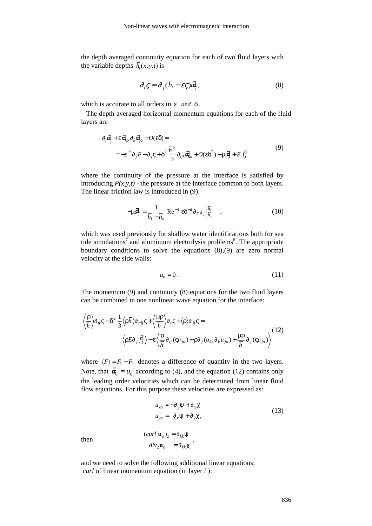the depth averaged continuity equation for each of two fluid layers with the variable depths  $\overline{h}_i(x, y, t)$  is

$$
\partial_i \zeta = \partial_j (\overline{h}_i - \varepsilon \zeta) \overline{u}_j, \qquad (8)
$$

which is accurate to all orders in ε *and* δ .

The depth averaged horizontal momentum equations for each of the fluid layers are

$$
\partial_t \vec{a}_j + \varepsilon \vec{a}_{k\rho} \partial_k \vec{a}_{j\rho} + O(\varepsilon \delta) =
$$
  
=  $-\varepsilon^{-1} \partial_j P - \partial_j \varsigma + \delta^2 \frac{\overline{h}_i^2}{3} \partial_{ijk} \vec{a}_{k\rho} + O(\varepsilon \delta^2) - \mu \vec{a}_j + E \vec{f}_j$  (9)

where the continuity of the pressure at the interface is satisfied by introducing  $P(x, y, t)$  - the pressure at the interface common to both layers. The linear friction law is introduced in (9):

$$
-\mu \vec{a}_j = \frac{1}{\overline{h}_i - \overline{h}_o} \operatorname{Re}^{-1} \varepsilon \delta^{-2} \partial_{\overline{z}} u_j \Big|_{\overline{h}_o}^{\overline{h}_i} \quad , \tag{10}
$$

which was used previously for shallow water identifications both for sea tide simulations<sup>7</sup> and aluminium electrolysis problems<sup>8</sup>. The appropriate boundary conditions to solve the equations (8),(9) are zero normal velocity at the side walls:

$$
u_n = 0. \tag{11}
$$

The momentum (9) and continuity (8) equations for the two fluid layers can be combined in one nonlinear wave equation for the interface:

$$
\left\langle \frac{\rho}{\overline{h}} \right\rangle \partial_{u} \varsigma - \delta^{2} \frac{1}{3} \left\langle \rho \overline{h} \right\rangle \partial_{tij} \varsigma + \left\langle \frac{\mu \rho}{\overline{h}} \right\rangle \partial_{t} \varsigma + \left\langle \rho \right\rangle \partial_{jj} \varsigma =
$$
\n
$$
\left\langle \rho E \partial_{j} \overrightarrow{f}_{j} \right\rangle - \varepsilon \left\langle \frac{\rho}{\overline{h}} \partial_{tj} (\varsigma u_{jo}) + \rho \partial_{j} (u_{ko} \partial_{k} u_{jo}) + \frac{\mu \rho}{\overline{h}} \partial_{j} (\varsigma u_{jo}) \right\rangle
$$
\n(12)

where  $\langle F \rangle = F_1 - F_2$  denotes a difference of quantity in the two layers. Note, that  $\vec{a_0} = u_0$  according to (4), and the equation (12) contains only the leading order velocities which can be determined from linear fluid flow equations. For this purpose these velocities are expressed as:

$$
u_{xo} = -\partial_y \psi + \partial_x \chi
$$
  
\n
$$
u_{yo} = \partial_x \psi + \partial_y \chi,
$$
\n(13)

then

$$
\begin{aligned} (curl \mathbf{u}_o)_z &= \partial_{kk} \Psi \\ div_2 \mathbf{u}_o &= \partial_{kk} \chi \end{aligned}
$$

and we need to solve the following additional linear equations: *curl* of linear momentum equation (in layer *i* ):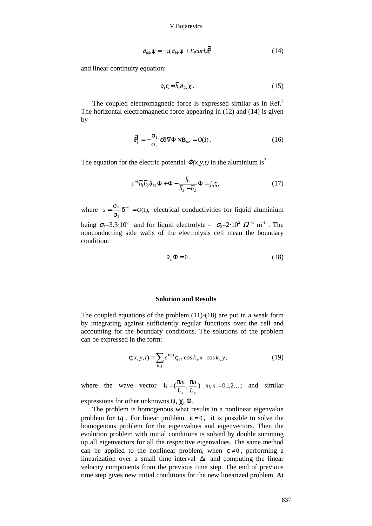#### V.Bojarevics

$$
\partial_{ikk} \Psi = -\mu_i \partial_{kk} \Psi + E_i curl_z \vec{F}_i
$$
 (14)

and linear continuity equation:

$$
\partial_t \zeta = \overline{h_i} \partial_{kk} \chi \,. \tag{15}
$$

The coupled electromagnetic force is expressed similar as in Ref.<sup>2</sup> The horizontal electromagnetic force appearing in (12) and (14) is given by

$$
\vec{\mathbf{F}}_j = -\frac{\sigma_1}{\sigma_2} \varepsilon \delta \nabla \Phi \times \mathbf{B}_{oz} = O(1) \,. \tag{16}
$$

The equation for the electric potential  $\Phi(x, y, t)$  in the aluminium is<sup>2</sup>

$$
s^{-1}\overline{h}_1\overline{h}_2\partial_{kk}\Phi + \Phi - \frac{\overline{h}_1}{\overline{h}_3 - \overline{h}_2}\Phi = j_o \varsigma,
$$
 (17)

where  $s = \frac{\sigma_2}{s} \delta^{-2} = O$  $\frac{\sigma_2}{\sigma_1}$ δ 1  $2^2 = O(1)$ , electrical conductivities for liquid aluminium being  $\sigma_l$ =3.3⋅10<sup>6</sup> and for liquid electrolyte -  $\sigma_2$ =2⋅10<sup>2</sup>  $\Omega$ <sup>-1</sup> m<sup>-1</sup>. The nonconducting side walls of the electrolysis cell mean the boundary condition:

$$
\partial_n \Phi = 0. \tag{18}
$$

## **Solution and Results**

The coupled equations of the problem (11)-(18) are put in a weak form by integrating against sufficiently regular functions over the cell and accounting for the boundary conditions. The solutions of the problem can be expressed in the form:

$$
\varsigma(x, y, t) = \sum_{k,j} e^{\omega_j t} \varsigma_{kj} \cos k_x x \cos k_y y,\tag{19}
$$

where the wave vector  $\mathbf{k} = (\frac{\pi m}{\pi}, \frac{\pi n}{\pi})$   $m, n = 0, 1, 2...$ *L n*  $\frac{n}{L_v}$ ) *m*, *n*  $\mathbf{v}$   $\mathbf{v}$  $0, 1, 2...;$  and similar

expressions for other unknowns  $\psi$ ,  $\gamma$ ,  $\Phi$ .

The problem is homogenous what results in a nonlinear eigenvalue problem for  $\omega_j$ . For linear problem,  $\varepsilon = 0$ , it is possible to solve the homogenous problem for the eigenvalues and eigenvectors. Then the evolution problem with initial conditions is solved by double summing up all eigenvectors for all the respective eigenvalues. The same method can be applied to the nonlinear problem, when  $\varepsilon \neq 0$ , performing a linearization over a small time interval ∆*t* and computing the linear velocity components from the previous time step. The end of previous time step gives new initial conditions for the new linearized problem. At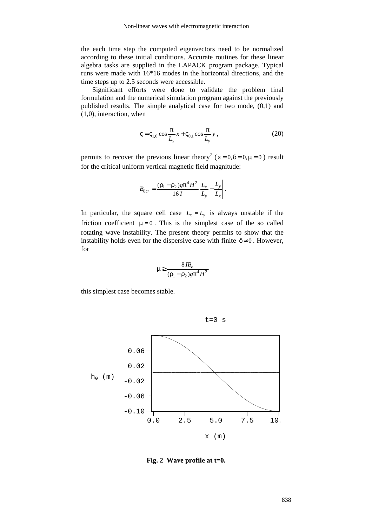the each time step the computed eigenvectors need to be normalized according to these initial conditions. Accurate routines for these linear algebra tasks are supplied in the LAPACK program package. Typical runs were made with 16\*16 modes in the horizontal directions, and the time steps up to 2.5 seconds were accessible.

Significant efforts were done to validate the problem final formulation and the numerical simulation program against the previously published results. The simple analytical case for two mode, (0,1) and (1,0), interaction, when

$$
\varsigma = \varsigma_{1,0} \cos \frac{\pi}{L_x} x + \varsigma_{0,1} \cos \frac{\pi}{L_y} y , \qquad (20)
$$

permits to recover the previous linear theory<sup>2</sup> ( $\varepsilon = 0$ ,  $\delta = 0$ ,  $\mu = 0$ ) result for the critical uniform vertical magnetic field magnitude:

$$
B_{0cr} = \frac{(\rho_1 - \rho_2)g\pi^4 H^2}{16 I} \left| \frac{L_x}{L_y} - \frac{L_y}{L_x} \right|.
$$

In particular, the square cell case  $L_x = L_y$  is always unstable if the friction coefficient  $\mu = 0$ . This is the simplest case of the so called rotating wave instability. The present theory permits to show that the instability holds even for the dispersive case with finite  $\delta \neq 0$ . However, for

$$
\mu \ge \frac{8IB_o}{(\rho_1 - \rho_2)g\pi^4H^2}
$$

this simplest case becomes stable.



**Fig. 2 Wave profile at t=0.**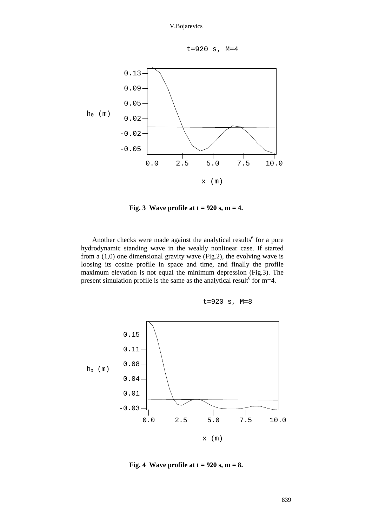



**Fig. 3 Wave profile at t = 920 s, m = 4.**

Another checks were made against the analytical results<sup>6</sup> for a pure hydrodynamic standing wave in the weakly nonlinear case. If started from a (1,0) one dimensional gravity wave (Fig.2), the evolving wave is loosing its cosine profile in space and time, and finally the profile maximum elevation is not equal the minimum depression (Fig.3). The present simulation profile is the same as the analytical result for m=4.





**Fig. 4 Wave profile at t = 920 s, m = 8.**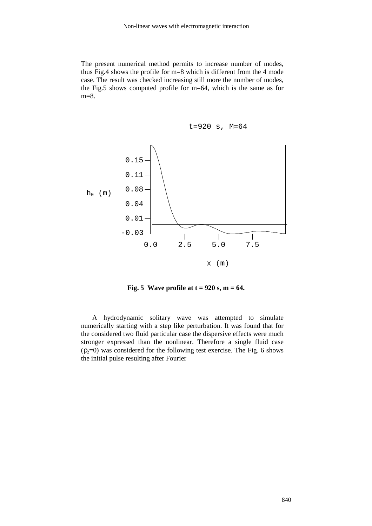The present numerical method permits to increase number of modes, thus Fig.4 shows the profile for m=8 which is different from the 4 mode case. The result was checked increasing still more the number of modes, the Fig.5 shows computed profile for m=64, which is the same as for m=8.





**Fig. 5 Wave profile at t = 920 s, m = 64.**

A hydrodynamic solitary wave was attempted to simulate numerically starting with a step like perturbation. It was found that for the considered two fluid particular case the dispersive effects were much stronger expressed than the nonlinear. Therefore a single fluid case  $(p_2=0)$  was considered for the following test exercise. The Fig. 6 shows the initial pulse resulting after Fourier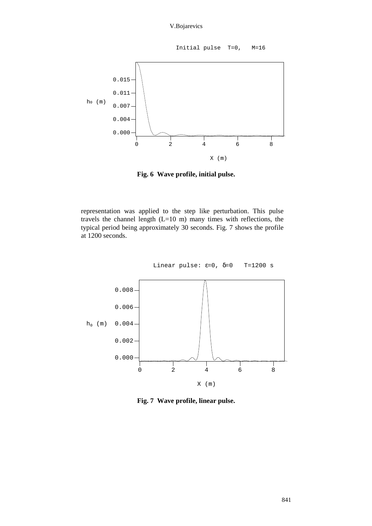Initial pulse T=0, M=16



**Fig. 6 Wave profile, initial pulse.**

representation was applied to the step like perturbation. This pulse travels the channel length (L=10 m) many times with reflections, the typical period being approximately 30 seconds. Fig. 7 shows the profile at 1200 seconds.



**Fig. 7 Wave profile, linear pulse.**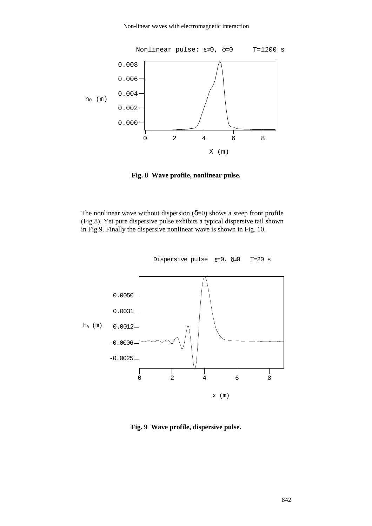

**Fig. 8 Wave profile, nonlinear pulse.**

The nonlinear wave without dispersion  $(\delta=0)$  shows a steep front profile (Fig.8). Yet pure dispersive pulse exhibits a typical dispersive tail shown in Fig.9. Finally the dispersive nonlinear wave is shown in Fig. 10.



Dispersive pulse  $\epsilon=0$ ,  $\delta\neq0$  T=20 s

**Fig. 9 Wave profile, dispersive pulse.**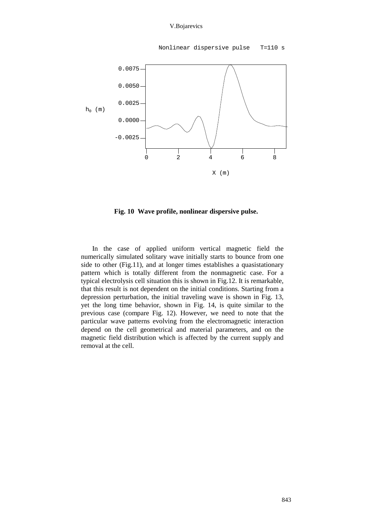## V.Bojarevics

Nonlinear dispersive pulse T=110 s



**Fig. 10 Wave profile, nonlinear dispersive pulse.**

In the case of applied uniform vertical magnetic field the numerically simulated solitary wave initially starts to bounce from one side to other (Fig.11), and at longer times establishes a quasistationary pattern which is totally different from the nonmagnetic case. For a typical electrolysis cell situation this is shown in Fig.12. It is remarkable, that this result is not dependent on the initial conditions. Starting from a depression perturbation, the initial traveling wave is shown in Fig. 13, yet the long time behavior, shown in Fig. 14, is quite similar to the previous case (compare Fig. 12). However, we need to note that the particular wave patterns evolving from the electromagnetic interaction depend on the cell geometrical and material parameters, and on the magnetic field distribution which is affected by the current supply and removal at the cell.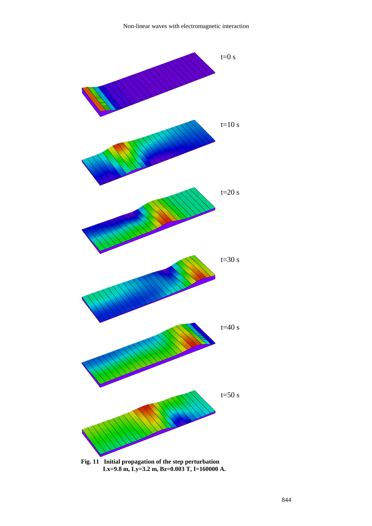

**Fig. 11 Initial propagation of the step perturbation Lx=9.8 m, Ly=3.2 m, Bz=0.003 T, I=160000 A.**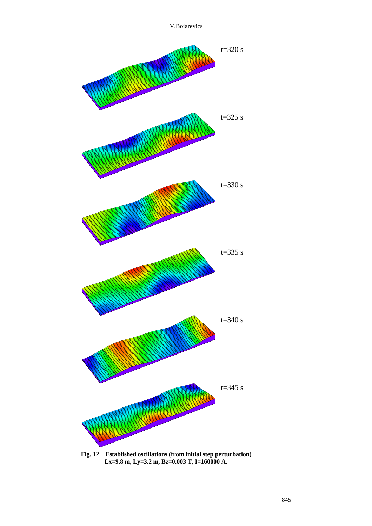

**Fig. 12 Established oscillations (from initial step perturbation) Lx=9.8 m, Ly=3.2 m, Bz=0.003 T, I=160000 A.**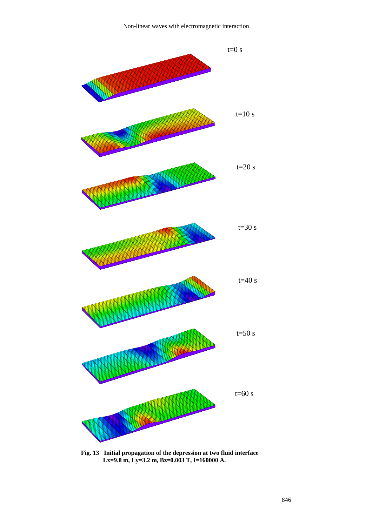

**Fig. 13 Initial propagation of the depression at two fluid interface Lx=9.8 m, Ly=3.2 m, Bz=0.003 T, I=160000 A.**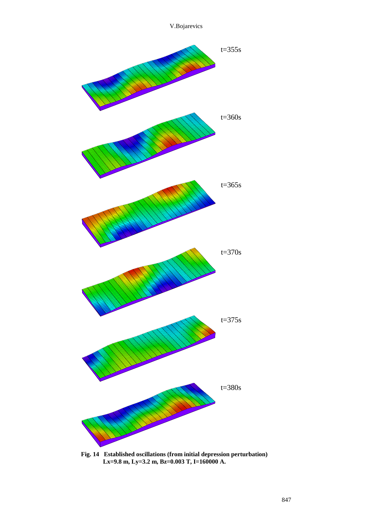

**Fig. 14 Established oscillations (from initial depression perturbation) Lx=9.8 m, Ly=3.2 m, Bz=0.003 T, I=160000 A.**